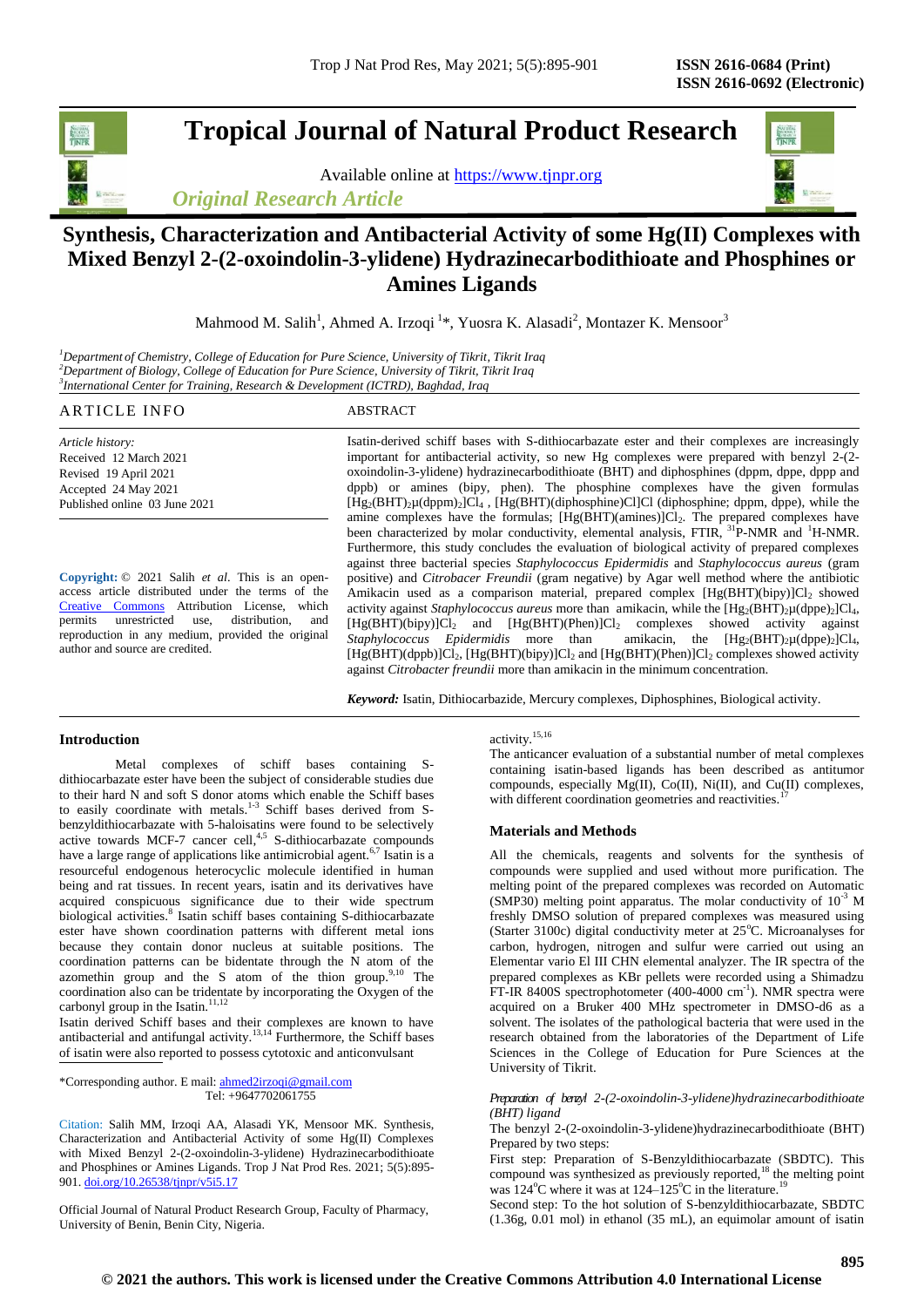**Tropical Journal of Natural Product Research**

Available online at [https://www.tjnpr.org](https://www.tjnpr.org/) *Original Research Article*



Mahmood M. Salih<sup>1</sup>, Ahmed A. Irzoqi <sup>1</sup>\*, Yuosra K. Alasadi<sup>2</sup>, Montazer K. Mensoor<sup>3</sup>

*<sup>1</sup>Department of Chemistry, College of Education for Pure Science, University of Tikrit, Tikrit Iraq <sup>2</sup>Department of Biology, College of Education for Pure Science, University of Tikrit, Tikrit Iraq 3 International Center for Training, Research & Development (ICTRD), Baghdad, Iraq*

# ARTICLE INFO ABSTRACT

*Article history:* Received 12 March 2021 Revised 19 April 2021 Accepted 24 May 2021 Published online 03 June 2021

**Copyright:** © 2021 Salih *et al*. This is an openaccess article distributed under the terms of the [Creative Commons](https://creativecommons.org/licenses/by/4.0/) Attribution License, which<br>permits unrestricted use, distribution. and unrestricted use, distribution, and reproduction in any medium, provided the original author and source are credited.

Isatin-derived schiff bases with S-dithiocarbazate ester and their complexes are increasingly important for antibacterial activity, so new Hg complexes were prepared with benzyl 2-(2 oxoindolin-3-ylidene) hydrazinecarbodithioate (BHT) and diphosphines (dppm, dppe, dppp and dppb) or amines (bipy, phen). The phosphine complexes have the given formulas [Hg2(BHT)2µ(dppm)2]Cl<sup>4</sup> , [Hg(BHT)(diphosphine)Cl]Cl (diphosphine; dppm, dppe), while the amine complexes have the formulas;  $[Hg(BHT)(amines)]Cl<sub>2</sub>$ . The prepared complexes have been characterized by molar conductivity, elemental analysis, FTIR, <sup>31</sup>P-NMR and <sup>1</sup>H-NMR. Furthermore, this study concludes the evaluation of biological activity of prepared complexes against three bacterial species *Staphylococcus Epidermidis* and *Staphylococcus aureus* (gram positive) and *Citrobacer Freundii* (gram negative) by Agar well method where the antibiotic Amikacin used as a comparison material, prepared complex  $[Hg(BHT)(bipy)]Cl<sub>2</sub>$  showed activity against *Staphylococcus aureus* more than amikacin, while the  $[Hg_2(BHT)_2\mu(dppe)_2]Cl_4$ , [Hg(BHT)(bipy)]Cl<sub>2</sub> and [Hg(BHT)(Phen)]Cl<sub>2</sub> complexes showed activity against *Staphylococcus Epidermidis* more than amikacin, the  $[Hg_2(BHT)_2\mu(dp)e_2]Cl_4$ , [Hg(BHT)(dppb)]Cl<sub>2</sub>, [Hg(BHT)(bipy)]Cl<sub>2</sub> and [Hg(BHT)(Phen)]Cl<sub>2</sub> complexes showed activity against *Citrobacter freundii* more than amikacin in the minimum concentration.

*Keyword:* Isatin, Dithiocarbazide, Mercury complexes, Diphosphines, Biological activity.

# **Introduction**

Metal complexes of schiff bases containing Sdithiocarbazate ester have been the subject of considerable studies due to their hard N and soft S donor atoms which enable the Schiff bases to easily coordinate with metals.<sup>1-3</sup> Schiff bases derived from Sbenzyldithiocarbazate with 5-haloisatins were found to be selectively active towards MCF-7 cancer cell, $4.5$  S-dithiocarbazate compounds have a large range of applications like antimicrobial agent.<sup>6,7</sup> Isatin is a resourceful endogenous heterocyclic molecule identified in human being and rat tissues. In recent years, isatin and its derivatives have acquired conspicuous significance due to their wide spectrum biological activities.<sup>8</sup> Isatin schiff bases containing S-dithiocarbazate ester have shown coordination patterns with different metal ions because they contain donor nucleus at suitable positions. The coordination patterns can be bidentate through the N atom of the azomethin group and the S atom of the thion group. $9,10$  The coordination also can be tridentate by incorporating the Oxygen of the carbonyl group in the Isatin. $11,12$ 

Isatin derived Schiff bases and their complexes are known to have antibacterial and antifungal activity.<sup>13,14</sup> Furthermore, the Schiff bases of isatin were also reported to possess cytotoxic and anticonvulsant

\*Corresponding author. E mail[: ahmed2irzoqi@gmail.com](mailto:ahmed2irzoqi@gmail.com) Tel: +9647702061755

Citation: Salih MM, Irzoqi AA, Alasadi YK, Mensoor MK. Synthesis, Characterization and Antibacterial Activity of some Hg(II) Complexes with Mixed Benzyl 2-(2-oxoindolin-3-ylidene) Hydrazinecarbodithioate and Phosphines or Amines Ligands. Trop J Nat Prod Res. 2021; 5(5):895- 901[. doi.org/10.26538/tjnpr/v5i5.1](http://www.doi.org/10.26538/tjnpr/v1i4.5)7

Official Journal of Natural Product Research Group, Faculty of Pharmacy, University of Benin, Benin City, Nigeria.

# activity.15,16

The anticancer evaluation of a substantial number of metal complexes containing isatin-based ligands has been described as antitumor compounds, especially Mg(II), Co(II), Ni(II), and Cu(II) complexes, with different coordination geometries and reactivities.

#### **Materials and Methods**

All the chemicals, reagents and solvents for the synthesis of compounds were supplied and used without more purification. The melting point of the prepared complexes was recorded on Automatic (SMP30) melting point apparatus. The molar conductivity of  $10^{-3}$  M freshly DMSO solution of prepared complexes was measured using (Starter 3100c) digital conductivity meter at  $25^{\circ}$ C. Microanalyses for carbon, hydrogen, nitrogen and sulfur were carried out using an Elementar vario El III CHN elemental analyzer. The IR spectra of the prepared complexes as KBr pellets were recorded using a Shimadzu FT-IR 8400S spectrophotometer (400-4000 cm<sup>-1</sup>). NMR spectra were acquired on a Bruker 400 MHz spectrometer in DMSO-d6 as a solvent. The isolates of the pathological bacteria that were used in the research obtained from the laboratories of the Department of Life Sciences in the College of Education for Pure Sciences at the University of Tikrit.

*Preparation of benzyl 2-(2-oxoindolin-3-ylidene)hydrazinecarbodithioate (BHT) ligand*

The benzyl 2-(2-oxoindolin-3-ylidene)hydrazinecarbodithioate (BHT) Prepared by two steps:

First step: Preparation of S-Benzyldithiocarbazate (SBDTC). This compound was synthesized as previously reported, $18$  the melting point was  $124^{\circ}$ C where it was at  $124-125^{\circ}$ C in the literature.

Second step: To the hot solution of S-benzyldithiocarbazate, SBDTC (1.36g, 0.01 mol) in ethanol (35 mL), an equimolar amount of isatin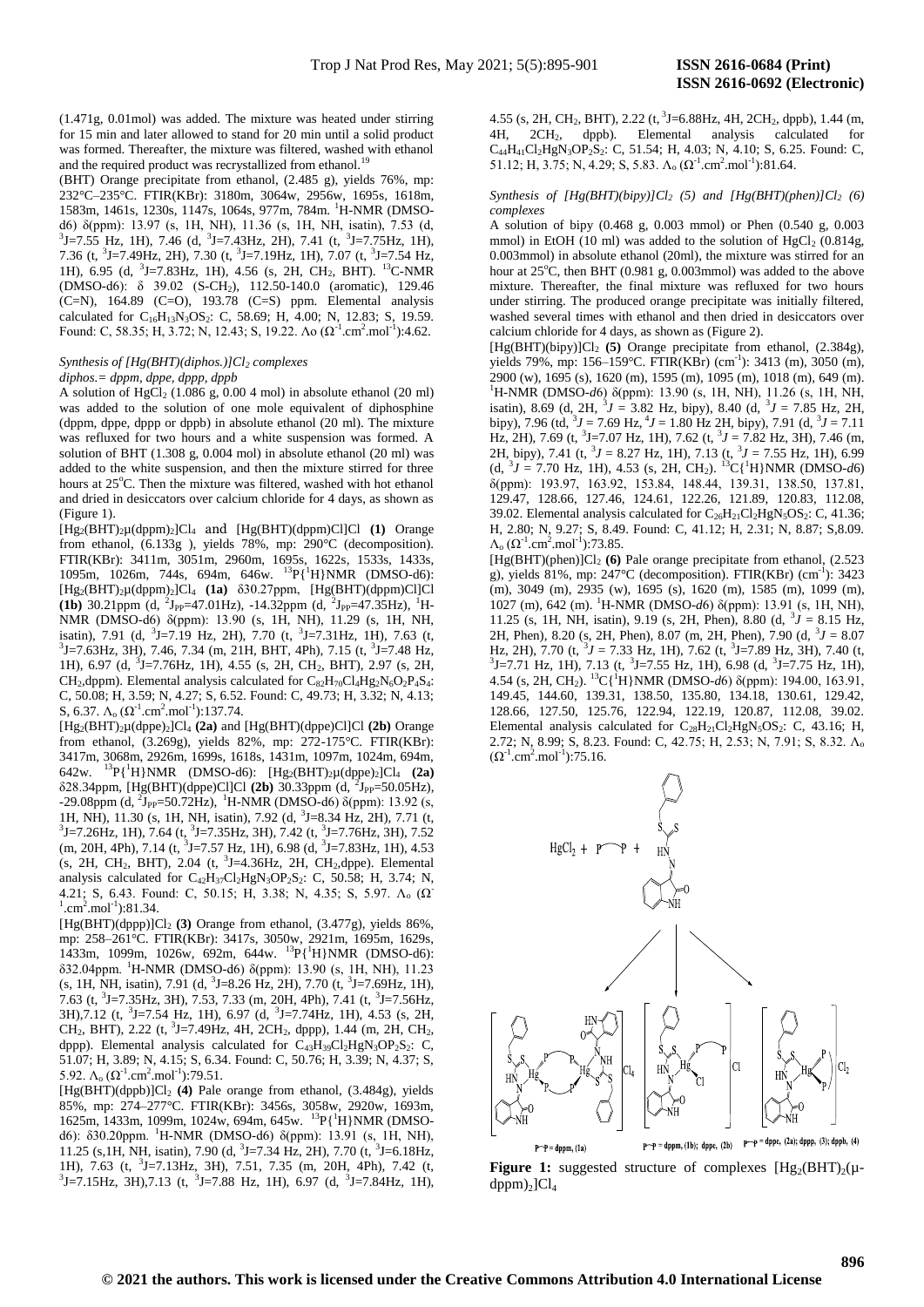(1.471g, 0.01mol) was added. The mixture was heated under stirring for 15 min and later allowed to stand for 20 min until a solid product was formed. Thereafter, the mixture was filtered, washed with ethanol and the required product was recrystallized from ethanol.<sup>19</sup>

(BHT) Orange precipitate from ethanol, (2.485 g), yields 76%, mp: 232°C–235°C. FTIR(KBr): 3180m, 3064w, 2956w, 1695s, 1618m, 1583m, 1461s, 1230s, 1147s, 1064s, 977m, 784m. <sup>1</sup>H-NMR (DMSOd6) δ(ppm): 13.97 (s, 1H, NH), 11.36 (s, 1H, NH, isatin), 7.53 (d, 3J=7.55 Hz, 1H), 7.46 (d, <sup>3</sup>J=7.43Hz, 2H), 7.41 (t, <sup>3</sup>J=7.75Hz, 1H), 7.36 (t,  $3$ J=7.49Hz, 2H), 7.30 (t,  $3$ J=7.19Hz, 1H), 7.07 (t,  $3$ J=7.54 Hz, 1H), 6.95 (d, <sup>3</sup>J=7.83Hz, 1H), 4.56 (s, 2H, CH<sub>2</sub>, BHT). <sup>13</sup>C-NMR (DMSO-d6): δ 39.02 (S-CH2), 112.50-140.0 (aromatic), 129.46 (C=N), 164.89 (C=O), 193.78 (C=S) ppm. Elemental analysis calculated for C<sub>16</sub>H<sub>13</sub>N<sub>3</sub>OS<sub>2</sub>: C, 58.69; H, 4.00; N, 12.83; S, 19.59. Found: C, 58.35; H, 3.72; N, 12.43; S, 19.22. Λο ( $\Omega^{-1}$ .cm<sup>2</sup>.mol<sup>-1</sup>):4.62.

### *Synthesis of [Hg(BHT)(diphos.)]Cl<sup>2</sup> complexes diphos.= dppm, dppe, dppp, dppb*

A solution of  $HgCl<sub>2</sub>$  (1.086 g, 0.00 4 mol) in absolute ethanol (20 ml) was added to the solution of one mole equivalent of diphosphine (dppm, dppe, dppp or dppb) in absolute ethanol (20 ml). The mixture was refluxed for two hours and a white suspension was formed. A solution of BHT (1.308 g, 0.004 mol) in absolute ethanol (20 ml) was added to the white suspension, and then the mixture stirred for three hours at 25°C. Then the mixture was filtered, washed with hot ethanol and dried in desiccators over calcium chloride for 4 days, as shown as (Figure 1).

[Hg2(BHT)2µ(dppm)2]Cl<sup>4</sup> and [Hg(BHT)(dppm)Cl]Cl **(1)** Orange from ethanol, (6.133g ), yields 78%, mp: 290°C (decomposition). FTIR(KBr): 3411m, 3051m, 2960m, 1695s, 1622s, 1533s, 1433s, 1095m, 1026m, 744s, 694m, 646w.  $^{13}P_{1}^{1}H_{1}NMR$  (DMSO-d6): [Hg2(BHT)2µ(dppm)2]Cl<sup>4</sup> **(1a)** δ30.27ppm, [Hg(BHT)(dppm)Cl]Cl **(1b)** 30.21ppm (d, <sup>2</sup>J<sub>PP</sub>=47.01Hz), -14.32ppm (d, <sup>2</sup>J<sub>PP</sub>=47.35Hz), <sup>1</sup>H-NMR (DMSO-d6) δ(ppm): 13.90 (s, 1H, NH), 11.29 (s, 1H, NH, isatin), 7.91 (d,  $3J=7.19$  Hz, 2H), 7.70 (t,  $3J=7.31$  Hz, 1H), 7.63 (t,  $3$ J=7.63Hz, 3H), 7.46, 7.34 (m, 21H, BHT, 4Ph), 7.15 (t,  $3$ J=7.48 Hz, 1H), 6.97 (d, <sup>3</sup> J=7.76Hz, 1H), 4.55 (s, 2H, CH2, BHT), 2.97 (s, 2H, CH<sub>2</sub>,dppm). Elemental analysis calculated for  $C_{82}H_{70}Cl_4Hg_2N_6O_2P_4S_4$ : C, 50.08; H, 3.59; N, 4.27; S, 6.52. Found: C, 49.73; H, 3.32; N, 4.13; S, 6.37.  $\Lambda_0 (\Omega^{\text{-}1} \text{.cm}^2 \text{.mol}^{\text{-}1})$ :137.74.

[Hg2(BHT)2µ(dppe)2]Cl<sup>4</sup> **(2a)** and [Hg(BHT)(dppe)Cl]Cl **(2b)** Orange from ethanol, (3.269g), yields 82%, mp: 272-175°C. FTIR(KBr): 3417m, 3068m, 2926m, 1699s, 1618s, 1431m, 1097m, 1024m, 694m, 642w. <sup>13</sup>P{<sup>1</sup>H}NMR (DMSO-d6): [Hg2(BHT)2µ(dppe)2]Cl<sup>4</sup> **(2a)** δ28.34ppm, [Hg(BHT)(dppe)Cl]Cl (2b) 30.33ppm (d, <sup>2</sup>J<sub>PP</sub>=50.05Hz), -29.08ppm (d, <sup>2</sup>J<sub>PP</sub>=50.72Hz), <sup>1</sup>H-NMR (DMSO-d6) δ(ppm): 13.92 (s, 1H, NH), 11.30 (s, 1H, NH, isatin), 7.92 (d, <sup>3</sup>J=8.34 Hz, 2H), 7.71 (t,  $3$ J=7.26Hz, 1H), 7.64 (t,  $3$ J=7.35Hz, 3H), 7.42 (t,  $3$ J=7.76Hz, 3H), 7.52  $(m, 20H, 4Ph), 7.14$   $(t, \frac{3}{7}J=7.57$  Hz, 1H), 6.98  $(d, \frac{3}{7}J=7.83$ Hz, 1H), 4.53  $(s, 2H, CH_2, BHT), 2.04$  (t, <sup>3</sup>J=4.36Hz, 2H, CH<sub>2</sub>,dppe). Elemental analysis calculated for  $C_{42}H_{37}Cl_2HgN_3OP_2S_2$ : C, 50.58; H, 3.74; N, 4.21; S, 6.43. Found: C, 50.15; H, 3.38; N, 4.35; S, 5.97.  $\Lambda_0$  ( $\Omega$ )  $^1$ .cm<sup>2</sup>.mol<sup>-1</sup>):81.34.

 $[Hg(BHT)(dppp)]Cl<sub>2</sub> (3) Orange from ethanol, (3.477g), yields 86%,$ mp: 258–261°C. FTIR(KBr): 3417s, 3050w, 2921m, 1695m, 1629s, 1433m, 1099m, 1026w, 692m, 644w. <sup>13</sup>P{<sup>1</sup>H}NMR (DMSO-d6): δ32.04ppm. <sup>1</sup>H-NMR (DMSO-d6) δ(ppm): 13.90 (s, 1H, NH), 11.23  $(s, 1H, NH, isatin)$ , 7.91 (d,  $3J=8.26$  Hz, 2H), 7.70 (t,  $3J=7.69$ Hz, 1H), 7.63 (t, <sup>3</sup>J=7.35Hz, 3H), 7.53, 7.33 (m, 20H, 4Ph), 7.41 (t, <sup>3</sup>J=7.56Hz,  $3H$ ),7.12 (t,  $3J=7.54$  Hz, 1H), 6.97 (d,  $3J=7.74$ Hz, 1H), 4.53 (s, 2H, CH<sub>2</sub>, BHT), 2.22 (t, <sup>3</sup>J=7.49Hz, 4H, 2CH<sub>2</sub>, dppp), 1.44 (m, 2H, CH<sub>2</sub>, dppp). Elemental analysis calculated for  $C_{43}H_{39}Cl_2HgN_3OP_2S_2$ : C, 51.07; H, 3.89; N, 4.15; S, 6.34. Found: C, 50.76; H, 3.39; N, 4.37; S, 5.92.  $\Lambda_0 (\Omega^{\text{-}1} \text{.cm}^2 \text{.mol}^{\text{-}1})$ :79.51.

[Hg(BHT)(dppb)]Cl<sup>2</sup> **(4)** Pale orange from ethanol, (3.484g), yields 85%, mp: 274–277°C. FTIR(KBr): 3456s, 3058w, 2920w, 1693m, 1625m, 1433m, 1099m, 1024w, 694m, 645w. <sup>13</sup>P{<sup>1</sup>H}NMR (DMSOd6): δ30.20ppm. <sup>1</sup>H-NMR (DMSO-d6) δ(ppm): 13.91 (s, 1H, NH), 11.25 (s, 1H, NH, isatin), 7.90 (d,  $3J=7.34$  Hz, 2H), 7.70 (t,  $3J=6.18$ Hz, 1H), 7.63 (t, <sup>3</sup> J=7.13Hz, 3H), 7.51, 7.35 (m, 20H, 4Ph), 7.42 (t,  $3J=7.15\text{Hz}$ , 3H),7.13 (t,  $3J=7.88$  Hz, 1H), 6.97 (d,  $3J=7.84\text{Hz}$ , 1H), 4.55 (s, 2H, CH<sub>2</sub>, BHT), 2.22 (t, <sup>3</sup>J=6.88Hz, 4H, 2CH<sub>2</sub>, dppb), 1.44 (m, 4H, 2CH2, dppb). Elemental analysis calculated for  $C_{44}H_{41}Cl_2HgN_3OP_2S_2$ : C, 51.54; H, 4.03; N, 4.10; S, 6.25. Found: C, 51.12; H, 3.75; N, 4.29; S, 5.83.  $\Lambda_0 (\Omega^{\text{-}1} \text{.cm}^2 \text{.mol}^{\text{-}1})$ :81.64.

# *Synthesis of [Hg(BHT)(bipy)]Cl<sup>2</sup> (5) and [Hg(BHT)(phen)]Cl<sup>2</sup> (6) complexes*

A solution of bipy (0.468 g, 0.003 mmol) or Phen (0.540 g, 0.003 mmol) in EtOH (10 ml) was added to the solution of  $HgCl<sub>2</sub>$  (0.814g, 0.003mmol) in absolute ethanol (20ml), the mixture was stirred for an hour at 25°C, then BHT (0.981 g, 0.003mmol) was added to the above mixture. Thereafter, the final mixture was refluxed for two hours under stirring. The produced orange precipitate was initially filtered, washed several times with ethanol and then dried in desiccators over calcium chloride for 4 days, as shown as (Figure 2).

[Hg(BHT)(bipy)]Cl<sup>2</sup> **(5)** Orange precipitate from ethanol, (2.384g), yields 79%, mp: 156-159°C. FTIR(KBr) (cm<sup>-1</sup>): 3413 (m), 3050 (m), 2900 (w), 1695 (s), 1620 (m), 1595 (m), 1095 (m), 1018 (m), 649 (m). <sup>1</sup>H-NMR (DMSO-*d*6) δ(ppm): 13.90 (s, 1H, NH), 11.26 (s, 1H, NH, isatin), 8.69 (d, 2H,  $3J = 3.82$  Hz, bipy), 8.40 (d,  $3J = 7.85$  Hz, 2H, bipy), 7.96 (td,  $3J = 7.69$  Hz,  $4J = 1.80$  Hz 2H, bipy), 7.91 (d,  $3J = 7.11$ Hz, 2H), 7.69 (t, <sup>3</sup>J=7.07 Hz, 1H), 7.62 (t, <sup>3</sup>J = 7.82 Hz, 3H), 7.46 (m, 2H, bipy), 7.41 (t,  ${}^{3}J = 8.27$  Hz, 1H), 7.13 (t,  ${}^{3}J = 7.55$  Hz, 1H), 6.99  $(d, {}^{3}J = 7.70 \text{ Hz}, 1\text{H}), 4.53 \text{ (s, 2H, CH}_2).$ <sup>13</sup>C{<sup>1</sup>H}NMR (DMSO-*d*6) δ(ppm): 193.97, 163.92, 153.84, 148.44, 139.31, 138.50, 137.81, 129.47, 128.66, 127.46, 124.61, 122.26, 121.89, 120.83, 112.08, 39.02. Elemental analysis calculated for  $C_{26}H_{21}Cl_2HgN_5OS_2$ : C, 41.36; H, 2.80; N, 9.27; S, 8.49. Found: C, 41.12; H, 2.31; N, 8.87; S,8.09.  $Λ<sub>o</sub> (Ω<sup>-1</sup>.cm<sup>2</sup>.mol<sup>-1</sup>):73.85.$ 

[Hg(BHT)(phen)]Cl<sup>2</sup> **(6)** Pale orange precipitate from ethanol, (2.523 g), yields  $81\%$ , mp:  $247^{\circ}$ C (decomposition). FTIR(KBr) (cm<sup>-1</sup>): 3423 (m), 3049 (m), 2935 (w), 1695 (s), 1620 (m), 1585 (m), 1099 (m), 1027 (m), 642 (m). <sup>1</sup>H-NMR (DMSO-*d*6) δ(ppm): 13.91 (s, 1H, NH), 11.25 (s, 1H, NH, isatin), 9.19 (s, 2H, Phen), 8.80 (d,  $3J = 8.15$  Hz, 2H, Phen), 8.20 (s, 2H, Phen), 8.07 (m, 2H, Phen), 7.90 (d,  $3J = 8.07$ Hz, 2H), 7.70 (t,  $3J = 7.33$  Hz, 1H), 7.62 (t,  $3J=7.89$  Hz, 3H), 7.40 (t,  $3$ J=7.71 Hz, 1H), 7.13 (t,  $3$ J=7.55 Hz, 1H), 6.98 (d,  $3$ J=7.75 Hz, 1H), 4.54 (s, 2H, CH2). <sup>13</sup>C{<sup>1</sup>H}NMR (DMSO-*d*6) δ(ppm): 194.00, 163.91, 149.45, 144.60, 139.31, 138.50, 135.80, 134.18, 130.61, 129.42, 128.66, 127.50, 125.76, 122.94, 122.19, 120.87, 112.08, 39.02. Elemental analysis calculated for  $C_{28}H_{21}Cl_2HgN_5OS_2$ : C, 43.16; H, 2.72; N, 8.99; S, 8.23. Found: C, 42.75; H, 2.53; N, 7.91; S, 8.32. Λ<sub>o</sub>  $(\Omega^{-1}$ .cm<sup>2</sup>.mol<sup>-1</sup>):75.16.



**Figure 1:** suggested structure of complexes  $[Hg_2(BHT)_2(u$  $dppm)$ <sub>2</sub>]Cl<sub>4</sub>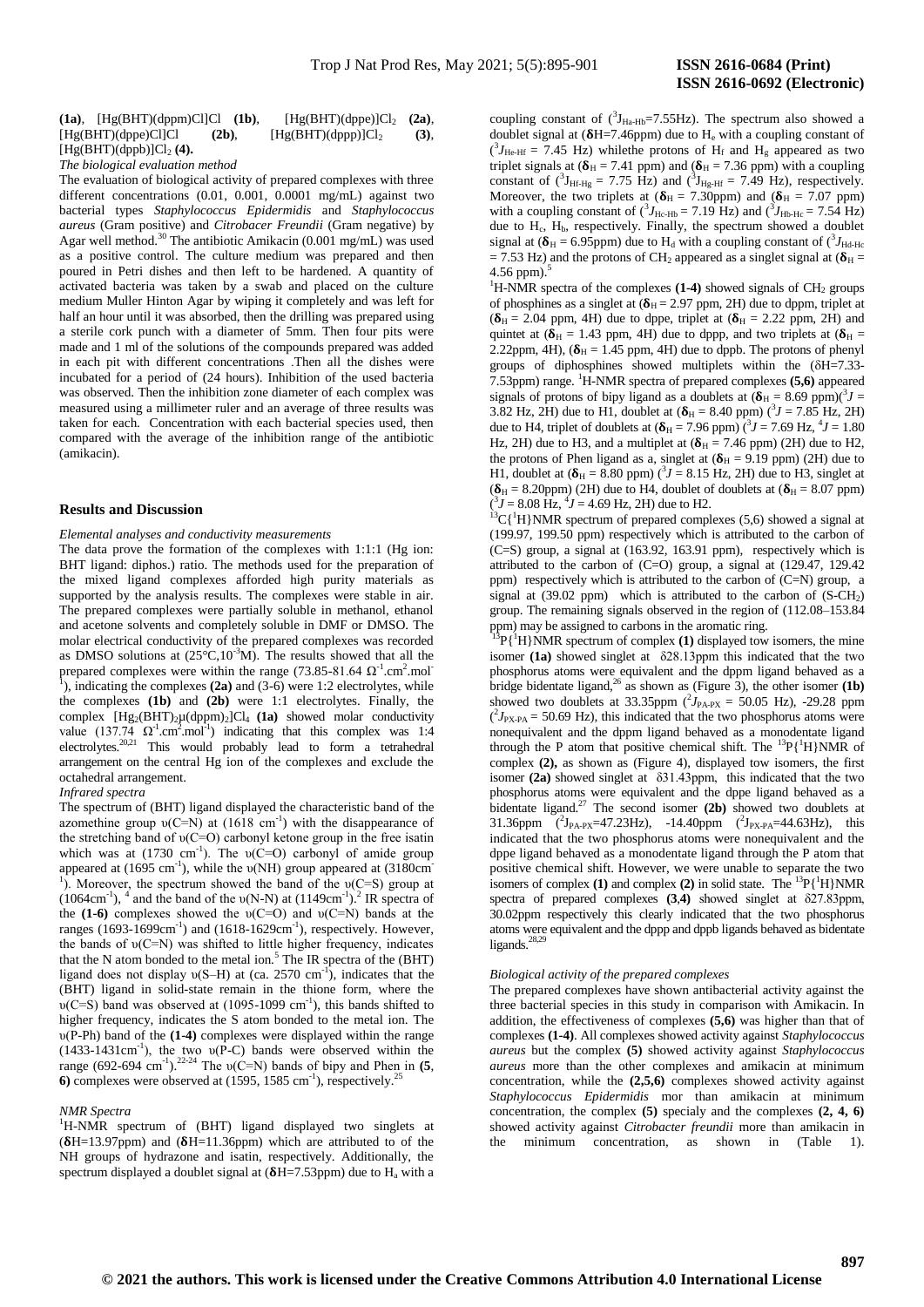# **(1a)**, [Hg(BHT)(dppm)Cl]Cl **(1b)**, [Hg(BHT)(dppe)]Cl<sup>2</sup> **(2a)**,  $[Hg(BHT)(dppe)Cl]Cl$  (2b),  $[Hg(BHT)(dppp)]Cl_2$  (3),  $[Hg(BHT)(dppb)]Cl<sub>2</sub>(4)$ .

*The biological evaluation method*

The evaluation of biological activity of prepared complexes with three different concentrations (0.01, 0.001, 0.0001 mg/mL) against two bacterial types *Staphylococcus Epidermidis* and *Staphylococcus aureus* (Gram positive) and *Citrobacer Freundii* (Gram negative) by Agar well method.<sup>30</sup> The antibiotic Amikacin (0.001 mg/mL) was used as a positive control. The culture medium was prepared and then poured in Petri dishes and then left to be hardened. A quantity of activated bacteria was taken by a swab and placed on the culture medium Muller Hinton Agar by wiping it completely and was left for half an hour until it was absorbed, then the drilling was prepared using a sterile cork punch with a diameter of 5mm. Then four pits were made and 1 ml of the solutions of the compounds prepared was added in each pit with different concentrations .Then all the dishes were incubated for a period of (24 hours). Inhibition of the used bacteria was observed. Then the inhibition zone diameter of each complex was measured using a millimeter ruler and an average of three results was taken for each. Concentration with each bacterial species used, then compared with the average of the inhibition range of the antibiotic (amikacin).

#### **Results and Discussion**

#### *Elemental analyses and conductivity measurements*

The data prove the formation of the complexes with 1:1:1 (Hg ion: BHT ligand: diphos.) ratio. The methods used for the preparation of the mixed ligand complexes afforded high purity materials as supported by the analysis results. The complexes were stable in air. The prepared complexes were partially soluble in methanol, ethanol and acetone solvents and completely soluble in DMF or DMSO. The molar electrical conductivity of the prepared complexes was recorded as DMSO solutions at  $(25^{\circ}C,10^{-3}M)$ . The results showed that all the prepared complexes were within the range (73.85-81.64  $Ω<sup>-1</sup>$ .cm<sup>2</sup>.mol<sup>-</sup>), indicating the complexes (**2a**) and (3-6) were 1:2 electrolytes, while the complexes **(1b)** and **(2b)** were 1:1 electrolytes. Finally, the complex  $[Hg_2(BHT)_2\mu(dppm)_2]Cl_4$  (1a) showed molar conductivity value  $(137.74 \Omega^1 \text{cm}^2 \text{cm}^2 \text{mol}^1)$  indicating that this complex was 1:4 electrolytes.<sup>20,21</sup> This would probably lead to form a tetrahedral arrangement on the central Hg ion of the complexes and exclude the octahedral arrangement.

#### *Infrared spectra*

The spectrum of (BHT) ligand displayed the characteristic band of the azomethine group  $v(C=N)$  at (1618 cm<sup>-1</sup>) with the disappearance of the stretching band of υ(C=O) carbonyl ketone group in the free isatin which was at  $(1730 \text{ cm}^{-1})$ . The  $v(C=O)$  carbonyl of amide group appeared at  $(1695 \text{ cm}^{-1})$ , while the  $v(NH)$  group appeared at  $(3180 \text{ cm}^{-1})$ <sup>1</sup>). Moreover, the spectrum showed the band of the  $\nu(C=S)$  group at  $(1064 \text{cm}^3)$ ,  $^4$  and the band of the v(N-N) at  $(1149 \text{cm}^3)$ . IR spectra of the **(1-6)** complexes showed the υ(C=O) and υ(C=N) bands at the ranges  $(1693-1699cm^{-1})$  and  $(1618-1629cm^{-1})$ , respectively. However, the bands of υ(C=N) was shifted to little higher frequency, indicates that the N atom bonded to the metal ion.<sup>5</sup> The IR spectra of the  $(BHT)$ ligand does not display  $v(S-H)$  at (ca. 2570 cm<sup>-1</sup>), indicates that the (BHT) ligand in solid-state remain in the thione form, where the  $v(C=S)$  band was observed at (1095-1099 cm<sup>-1</sup>), this bands shifted to higher frequency, indicates the S atom bonded to the metal ion. The υ(P-Ph) band of the **(1-4)** complexes were displayed within the range  $(1433-1431cm^{-1})$ , the two  $v(P-C)$  bands were observed within the range  $(692-694 \text{ cm}^3)$ .<sup>22-24</sup> The  $\nu(C=N)$  bands of bipy and Phen in **(5**, 6) complexes were observed at  $(1595, 1585 \text{ cm}^{-1})$ , respectively.<sup>25</sup>

# *NMR Spectra*

<sup>1</sup>H-NMR spectrum of (BHT) ligand displayed two singlets at  $(\delta H=13.97$ ppm) and  $(\delta H=11.36$ ppm) which are attributed to of the NH groups of hydrazone and isatin, respectively. Additionally, the spectrum displayed a doublet signal at  $(\delta H=7.53$ ppm) due to H<sub>a</sub> with a

coupling constant of  $({}^{3}J_{Ha-Hb}=7.55Hz)$ . The spectrum also showed a doublet signal at  $(\delta H=7.46$ ppm) due to  $H_e$  with a coupling constant of  $({}^{3}J_{\text{He-Hf}} = 7.45 \text{ Hz})$  while the protons of H<sub>f</sub> and H<sub>g</sub> appeared as two triplet signals at  $({\delta}_{H} = 7.41$  ppm) and  $({\delta}_{H} = 7.36$  ppm) with a coupling constant of  $({}^{3}J_{\text{Hf-Hg}} = 7.75 \text{ Hz})$  and  $({}^{3}J_{\text{Hg-Hf}} = 7.49 \text{ Hz})$ , respectively. Moreover, the two triplets at  $({\delta}_{H} = 7.30$ ppm) and  $({\delta}_{H} = 7.07$  ppm) with a coupling constant of  $({}^3J_{\text{He-Hb}} = 7.19 \text{ Hz})$  and  $({}^3J_{\text{Hb-Hc}} = 7.54 \text{ Hz})$ due to  $H_c$ ,  $H_b$ , respectively. Finally, the spectrum showed a doublet signal at  $(\delta_H = 6.95$ ppm) due to H<sub>d</sub> with a coupling constant of  $({}^3J_{\text{Hd-Hc}})$  $= 7.53$  Hz) and the protons of CH<sub>2</sub> appeared as a singlet signal at ( $\delta$ <sub>H</sub> =

4.56 ppm). $\frac{5}{3}$ <sup>1</sup>H-NMR spectra of the complexes  $(1-4)$  showed signals of CH<sub>2</sub> groups of phosphines as a singlet at  $(\delta_H = 2.97$  ppm, 2H) due to dppm, triplet at  $({\delta}_{H} = 2.04$  ppm, 4H) due to dppe, triplet at  $({\delta}_{H} = 2.22$  ppm, 2H) and quintet at  $({\delta}_{H} = 1.43$  ppm, 4H) due to dppp, and two triplets at  $({\delta}_{H} =$ 2.22ppm, 4H),  $(\delta_H = 1.45$  ppm, 4H) due to dppb. The protons of phenyl groups of diphosphines showed multiplets within the  $(\delta H=7.33$ -7.53ppm) range. <sup>1</sup>H-NMR spectra of prepared complexes **(5,6)** appeared signals of protons of bipy ligand as a doublets at  $({\delta}_{\text{H}} = 8.69 \text{ ppm})({}^3 J =$ 3.82 Hz, 2H) due to H1, doublet at  $({\delta_{H}} = 8.40$  ppm) ( ${}^{3}J = 7.85$  Hz, 2H) due to H4, triplet of doublets at  $({\delta_{H}} = 7.96$  ppm) ( $^{3}J = 7.69$  Hz,  $^{4}J = 1.80$ Hz, 2H) due to H3, and a multiplet at  $(\delta_H = 7.46$  ppm) (2H) due to H2, the protons of Phen ligand as a, singlet at  $(\delta_H = 9.19 \text{ ppm})$  (2H) due to H1, doublet at  $(\delta_H = 8.80$  ppm)  $\binom{3}{1} = 8.15$  Hz, 2H) due to H3, singlet at  $(\delta_H = 8.20$ ppm) (2H) due to H4, doublet of doublets at  $(\delta_H = 8.07$  ppm)  $(^{3}J = 8.08$  Hz,  $^{4}J = 4.69$  Hz, 2H) due to H2.

 ${}^{13}C[{^1}H]NMR$  spectrum of prepared complexes (5,6) showed a signal at (199.97, 199.50 ppm) respectively which is attributed to the carbon of (C=S) group, a signal at (163.92, 163.91 ppm), respectively which is attributed to the carbon of (C=O) group, a signal at (129.47, 129.42 ppm) respectively which is attributed to the carbon of (C=N) group, a signal at  $(39.02$  ppm) which is attributed to the carbon of  $(S-CH<sub>2</sub>)$ group. The remaining signals observed in the region of (112.08–153.84 ppm) may be assigned to carbons in the aromatic ring.

 ${}^{3}P\{{}^{1}H\}NMR$  spectrum of complex (1) displayed tow isomers, the mine isomer **(1a)** showed singlet at δ28.13ppm this indicated that the two phosphorus atoms were equivalent and the dppm ligand behaved as a bridge bidentate ligand,<sup>26</sup> as shown as (Figure 3), the other isomer  $(1b)$ showed two doublets at 33.35ppm  $(^2J_{\text{PA-PX}} = 50.05 \text{ Hz}$ ), -29.28 ppm  $(^{2}J_{\text{PX-PA}} = 50.69 \text{ Hz}$ ), this indicated that the two phosphorus atoms were nonequivalent and the dppm ligand behaved as a monodentate ligand through the P atom that positive chemical shift. The  $^{13}P\{^1H\}NMR$  of complex **(2),** as shown as (Figure 4), displayed tow isomers, the first isomer **(2a)** showed singlet at δ31.43ppm, this indicated that the two phosphorus atoms were equivalent and the dppe ligand behaved as a bidentate ligand.<sup>27</sup> The second isomer **(2b)** showed two doublets at 31.36ppm  $^{2}J_{PA-PX}=47.23\text{Hz}$ , -14.40ppm  $^{2}J_{PX-PA}=44.63\text{Hz}$ , this indicated that the two phosphorus atoms were nonequivalent and the dppe ligand behaved as a monodentate ligand through the P atom that positive chemical shift. However, we were unable to separate the two isomers of complex **(1)** and complex **(2)** in solid state. The  ${}^{13}P{\{\n}H\}NMR$ spectra of prepared complexes **(3**,**4)** showed singlet at δ27.83ppm, 30.02ppm respectively this clearly indicated that the two phosphorus atoms were equivalent and the dppp and dppb ligands behaved as bidentate ligands.<sup>28,29</sup>

### *Biological activity of the prepared complexes*

The prepared complexes have shown antibacterial activity against the three bacterial species in this study in comparison with Amikacin. In addition, the effectiveness of complexes **(5,6)** was higher than that of complexes **(1-4)**. All complexes showed activity against *Staphylococcus aureus* but the complex **(5)** showed activity against *Staphylococcus aureus* more than the other complexes and amikacin at minimum concentration, while the **(2,5,6)** complexes showed activity against *Staphylococcus Epidermidis* mor than amikacin at minimum concentration, the complex **(5)** specialy and the complexes **(2, 4, 6)** showed activity against *Citrobacter freundii* more than amikacin in the minimum concentration, as shown in (Table 1).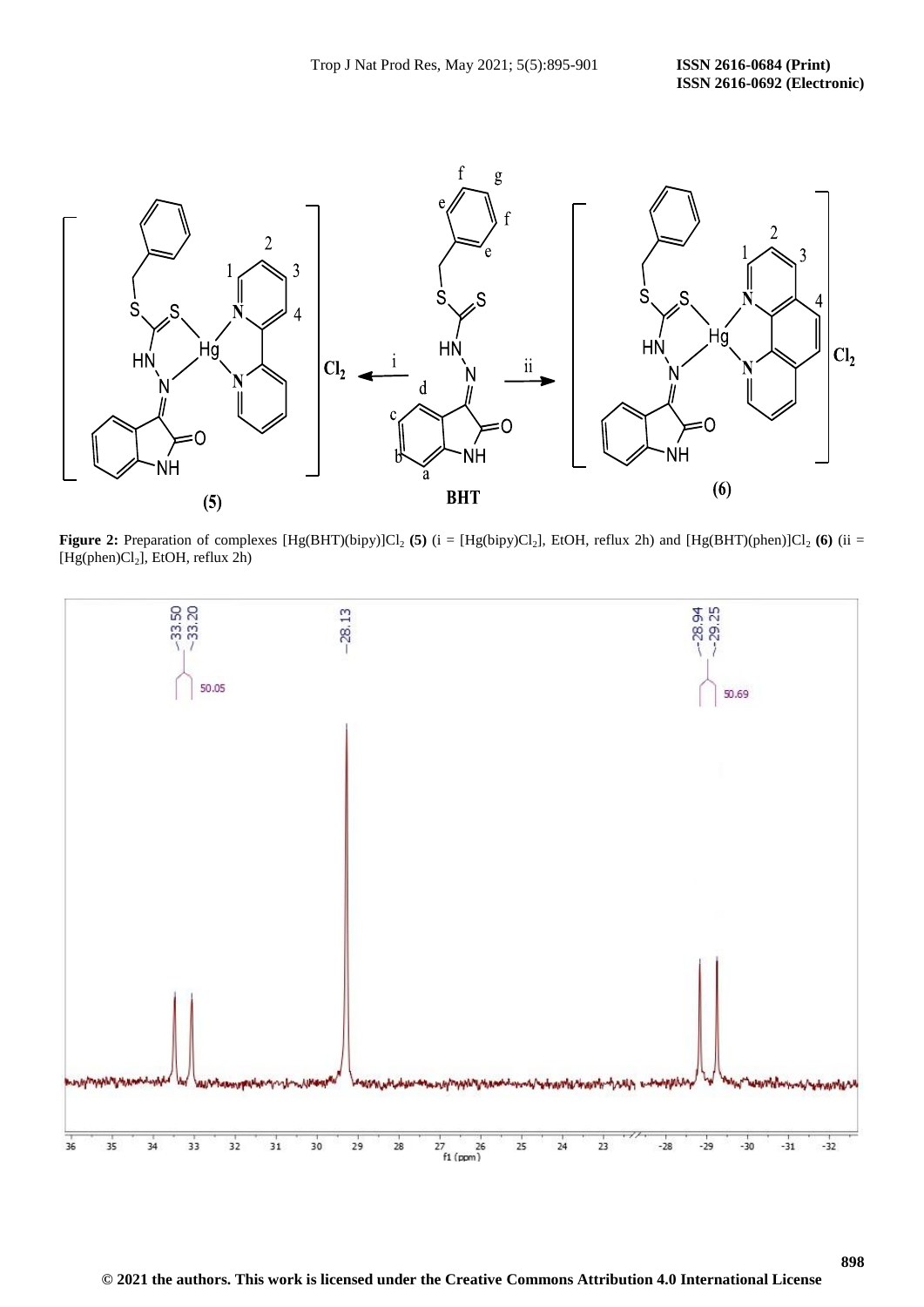

**Figure 2:** Preparation of complexes [Hg(BHT)(bipy)]Cl<sub>2</sub> (5) (i = [Hg(bipy)Cl<sub>2</sub>], EtOH, reflux 2h) and [Hg(BHT)(phen)]Cl<sub>2</sub> (6) (ii = [Hg(phen)Cl<sub>2</sub>], EtOH, reflux 2h)

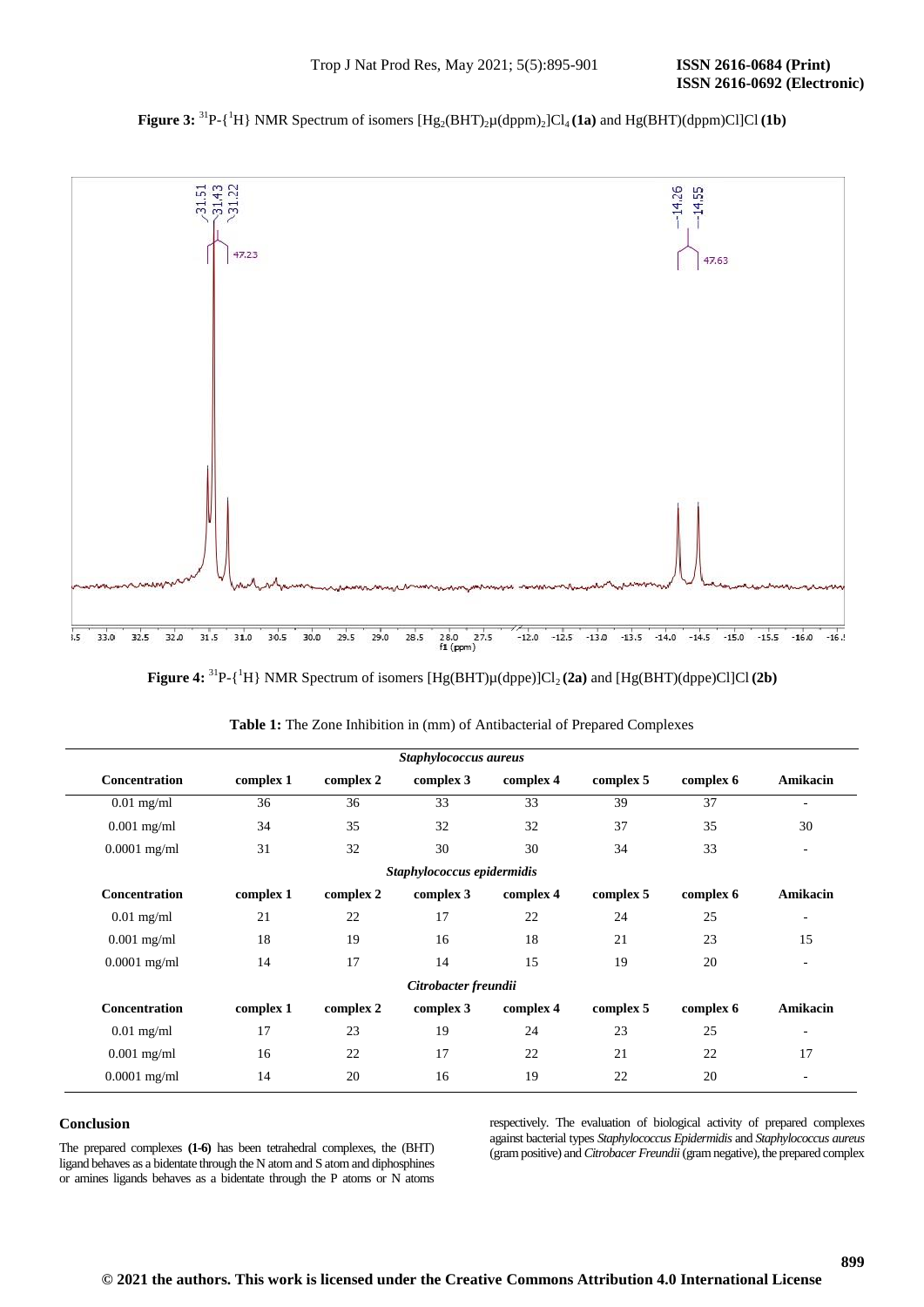# **Figure 3:** <sup>31</sup>P-{<sup>1</sup>H} NMR Spectrum of isomers  $[Hg_2(BHT)_2\mu(dppm)_2]Cl_4(1a)$  and  $Hg(BHT)(dppm)Cl]Cl(1b)$



**Figure 4:**  ${}^{31}P\text{-}{}^1H$ } NMR Spectrum of isomers [Hg(BHT) $\mu$ (dppe)]Cl<sub>2</sub> (2a) and [Hg(BHT)(dppe)Cl]Cl (2b)

| Staphylococcus aureus      |           |           |                      |           |           |           |          |  |  |
|----------------------------|-----------|-----------|----------------------|-----------|-----------|-----------|----------|--|--|
| <b>Concentration</b>       | complex 1 | complex 2 | complex 3            | complex 4 | complex 5 | complex 6 | Amikacin |  |  |
| $0.01$ mg/ml               | 36        | 36        | 33                   | 33        | 39        | 37        | ٠        |  |  |
| $0.001$ mg/ml              | 34        | 35        | 32                   | 32        | 37        | 35        | 30       |  |  |
| $0.0001$ mg/ml             | 31        | 32        | 30                   | 30        | 34        | 33        | ٠        |  |  |
| Staphylococcus epidermidis |           |           |                      |           |           |           |          |  |  |
| <b>Concentration</b>       | complex 1 | complex 2 | complex 3            | complex 4 | complex 5 | complex 6 | Amikacin |  |  |
| $0.01$ mg/ml               | 21        | 22        | 17                   | 22        | 24        | 25        | ٠        |  |  |
| $0.001$ mg/ml              | 18        | 19        | 16                   | 18        | 21        | 23        | 15       |  |  |
| $0.0001$ mg/ml             | 14        | 17        | 14                   | 15        | 19        | 20        | ٠        |  |  |
|                            |           |           | Citrobacter freundii |           |           |           |          |  |  |
| Concentration              | complex 1 | complex 2 | complex 3            | complex 4 | complex 5 | complex 6 | Amikacin |  |  |
| $0.01$ mg/ml               | 17        | 23        | 19                   | 24        | 23        | 25        | ٠        |  |  |
| $0.001$ mg/ml              | 16        | 22        | 17                   | 22        | 21        | 22        | 17       |  |  |
| $0.0001$ mg/ml             | 14        | 20        | 16                   | 19        | 22        | 20        |          |  |  |

| <b>Table 1:</b> The Zone Inhibition in (mm) of Antibacterial of Prepared Complexes |  |  |  |  |
|------------------------------------------------------------------------------------|--|--|--|--|
|------------------------------------------------------------------------------------|--|--|--|--|

# **Conclusion**

The prepared complexes **(1-6)** has been tetrahedral complexes, the (BHT) ligand behaves as a bidentate through the N atom and S atom and diphosphines or amines ligands behaves as a bidentate through the P atoms or N atoms respectively. The evaluation of biological activity of prepared complexes against bacterial types *Staphylococcus Epidermidis* and *Staphylococcus aureus*  (gram positive) and *Citrobacer Freundii* (gram negative), the prepared complex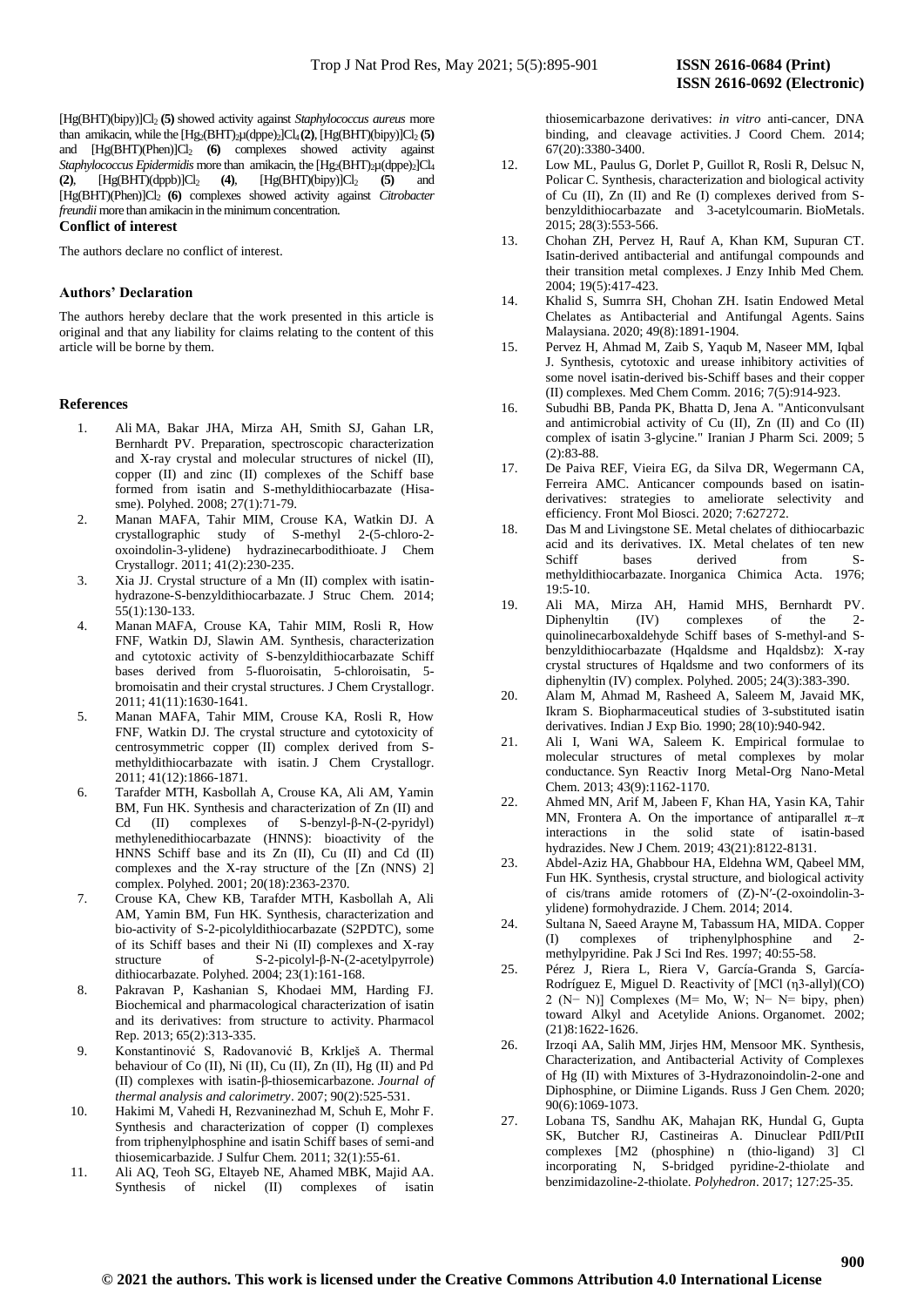[Hg(BHT)(bipy)]Cl<sup>2</sup> **(5)** showed activity against *Staphylococcus aureus* more than amikacin, while the  $[Hg_2(BHT)_2\mu(dppe)_2]Cl_4(2)$ ,  $[Hg(BHT)(bipy)]Cl_2(5)$ and [Hg(BHT)(Phen)]Cl<sub>2</sub> (6) complexes showed activity against *Staphylococcus Epidermidis* more than amikacin, the [Hg<sub>2</sub>(BHT)<sub>2</sub>µ(dppe)<sub>2</sub>]Cl<sub>4</sub> (2),  $[Hg(BHT)(dppb)]Cl<sub>2</sub>$  (4),  $[Hg(BHT)(bipy)]Cl<sub>2</sub>$  (5) and [Hg(BHT)(Phen)]Cl2 **(6)** complexes showed activity against *Citrobacter freundii* more than amikacin in the minimum concentration.

# **Conflict of interest**

The authors declare no conflict of interest.

# **Authors' Declaration**

The authors hereby declare that the work presented in this article is original and that any liability for claims relating to the content of this article will be borne by them.

# **References**

- 1. Ali MA, Bakar JHA, Mirza AH, Smith SJ, Gahan LR, Bernhardt PV. Preparation, spectroscopic characterization and X-ray crystal and molecular structures of nickel (II), copper (II) and zinc (II) complexes of the Schiff base formed from isatin and S-methyldithiocarbazate (Hisasme). Polyhed. 2008; 27(1):71-79.
- 2. Manan MAFA, Tahir MIM, Crouse KA, Watkin DJ. A crystallographic study of S-methyl 2-(5-chloro-2 oxoindolin-3-ylidene) hydrazinecarbodithioate. J Chem Crystallogr. 2011; 41(2):230-235.
- 3. Xia JJ. Crystal structure of a Mn (II) complex with isatinhydrazone-S-benzyldithiocarbazate. J Struc Chem*.* 2014; 55(1):130-133.
- 4. Manan MAFA, Crouse KA, Tahir MIM, Rosli R, How FNF, Watkin DJ, Slawin AM. Synthesis, characterization and cytotoxic activity of S-benzyldithiocarbazate Schiff bases derived from 5-fluoroisatin, 5-chloroisatin, 5 bromoisatin and their crystal structures. J Chem Crystallogr. 2011; 41(11):1630-1641.
- 5. Manan MAFA, Tahir MIM, Crouse KA, Rosli R, How FNF, Watkin DJ. The crystal structure and cytotoxicity of centrosymmetric copper (II) complex derived from Smethyldithiocarbazate with isatin. J Chem Crystallogr. 2011; 41(12):1866-1871.
- 6. Tarafder MTH, Kasbollah A, Crouse KA, Ali AM, Yamin BM, Fun HK. Synthesis and characterization of Zn (II) and Cd (II) complexes of S-benzyl-β-N-(2-pyridyl) methylenedithiocarbazate (HNNS): bioactivity of the HNNS Schiff base and its Zn (II), Cu (II) and Cd (II) complexes and the X-ray structure of the [Zn (NNS) 2] complex. Polyhed. 2001; 20(18):2363-2370.
- 7. Crouse KA, Chew KB, Tarafder MTH, Kasbollah A, Ali AM, Yamin BM, Fun HK. Synthesis, characterization and bio-activity of S-2-picolyldithiocarbazate (S2PDTC), some of its Schiff bases and their Ni (II) complexes and X-ray<br>structure of S-2-picolyl-B-N-(2-acetylpyrrole) structure of S-2-picolyl-β-N-(2-acetylpyrrole) dithiocarbazate. Polyhed. 2004; 23(1):161-168.
- 8. Pakravan P, Kashanian S, Khodaei MM, Harding FJ. Biochemical and pharmacological characterization of isatin and its derivatives: from structure to activity. Pharmacol Rep*.* 2013; 65(2):313-335.
- 9. Konstantinović S, Radovanović B, Krklješ A. Thermal behaviour of Co (II), Ni (II), Cu (II), Zn (II), Hg (II) and Pd (II) complexes with isatin-β-thiosemicarbazone. *Journal of thermal analysis and calorimetry*. 2007; 90(2):525-531.
- 10. Hakimi M, Vahedi H, Rezvaninezhad M, Schuh E, Mohr F. Synthesis and characterization of copper (I) complexes from triphenylphosphine and isatin Schiff bases of semi-and thiosemicarbazide. J Sulfur Chem*.* 2011; 32(1):55-61.
- 11. Ali AQ, Teoh SG, Eltayeb NE, Ahamed MBK, Majid AA. Synthesis of nickel (II) complexes of isatin

thiosemicarbazone derivatives: *in vitro* anti-cancer, DNA binding, and cleavage activities. J Coord Chem. 2014; 67(20):3380-3400.

- 12. Low ML, Paulus G, Dorlet P, Guillot R, Rosli R, Delsuc N, Policar C. Synthesis, characterization and biological activity of Cu (II), Zn (II) and Re (I) complexes derived from Sbenzyldithiocarbazate and 3-acetylcoumarin. BioMetals. 2015; 28(3):553-566.
- 13. Chohan ZH, Pervez H, Rauf A, Khan KM, Supuran CT. Isatin-derived antibacterial and antifungal compounds and their transition metal complexes. J Enzy Inhib Med Chem*.* 2004; 19(5):417-423.
- 14. Khalid S, Sumrra SH, Chohan ZH. Isatin Endowed Metal Chelates as Antibacterial and Antifungal Agents. Sains Malaysiana. 2020; 49(8):1891-1904.
- 15. Pervez H, Ahmad M, Zaib S, Yaqub M, Naseer MM, Iqbal J. Synthesis, cytotoxic and urease inhibitory activities of some novel isatin-derived bis-Schiff bases and their copper (II) complexes. Med Chem Comm. 2016; 7(5):914-923.
- 16. Subudhi BB, Panda PK, Bhatta D, Jena A. "Anticonvulsant and antimicrobial activity of Cu (II), Zn (II) and Co (II) complex of isatin 3-glycine." Iranian J Pharm Sci*.* 2009; 5 (2):83-88.
- 17. De Paiva REF, Vieira EG, da Silva DR, Wegermann CA, Ferreira AMC. Anticancer compounds based on isatinderivatives: strategies to ameliorate selectivity and efficiency. Front Mol Biosci. 2020; 7:627272.
- 18. Das M and Livingstone SE. Metal chelates of dithiocarbazic acid and its derivatives. IX. Metal chelates of ten new Schiff bases derived from Smethyldithiocarbazate. Inorganica Chimica Acta. 1976; 19:5-10.
- 19. Ali MA, Mirza AH, Hamid MHS, Bernhardt PV. Diphenyltin (IV) complexes of the 2 quinolinecarboxaldehyde Schiff bases of S-methyl-and Sbenzyldithiocarbazate (Hqaldsme and Hqaldsbz): X-ray crystal structures of Hqaldsme and two conformers of its diphenyltin (IV) complex. Polyhed. 2005; 24(3):383-390.
- 20. Alam M, Ahmad M, Rasheed A, Saleem M, Javaid MK, Ikram S. Biopharmaceutical studies of 3-substituted isatin derivatives. Indian J Exp Bio*.* 1990; 28(10):940-942.
- 21. Ali I, Wani WA, Saleem K. Empirical formulae to molecular structures of metal complexes by molar conductance. Syn Reactiv Inorg Metal-Org Nano-Metal Chem. 2013; 43(9):1162-1170.
- 22. Ahmed MN, Arif M, Jabeen F, Khan HA, Yasin KA, Tahir MN, Frontera A. On the importance of antiparallel  $\pi-\pi$ interactions in the solid state of isatin-based hydrazides. New J Chem*.* 2019; 43(21):8122-8131.
- 23. Abdel-Aziz HA, Ghabbour HA, Eldehna WM, Qabeel MM, Fun HK. Synthesis, crystal structure, and biological activity of cis/trans amide rotomers of (Z)-N′-(2-oxoindolin-3 ylidene) formohydrazide. J Chem. 2014; 2014.
- 24. Sultana N, Saeed Arayne M, Tabassum HA, MIDA. Copper (I) complexes of triphenylphosphine and 2 methylpyridine. Pak J Sci Ind Res. 1997; 40:55-58.
- 25. Pérez J, Riera L, Riera V, García-Granda S, García-Rodríguez E, Miguel D. Reactivity of [MCl (η3-allyl)(CO) 2 (N− N)] Complexes (M= Mo, W; N− N= bipy, phen) toward Alkyl and Acetylide Anions. Organomet. 2002; (21)8:1622-1626.
- 26. Irzoqi AA, Salih MM, Jirjes HM, Mensoor MK. Synthesis, Characterization, and Antibacterial Activity of Complexes of Hg (II) with Mixtures of 3-Hydrazonoindolin-2-one and Diphosphine, or Diimine Ligands. Russ J Gen Chem*.* 2020; 90(6):1069-1073.
- 27. Lobana TS, Sandhu AK, Mahajan RK, Hundal G, Gupta SK, Butcher RJ, Castineiras A. Dinuclear PdII/PtII complexes [M2 (phosphine) n (thio-ligand) 3] Cl incorporating N, S-bridged pyridine-2-thiolate and benzimidazoline-2-thiolate. *Polyhedron*. 2017; 127:25-35.